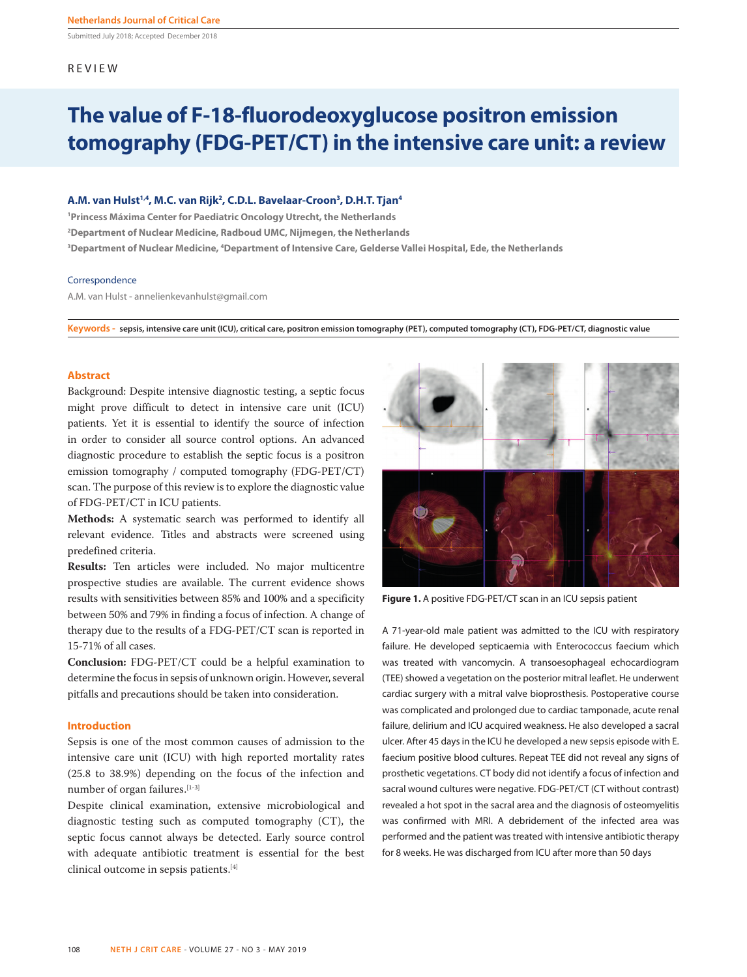Submitted July 2018; Accepted December 2018

# REVIEW

# **The value of F-18-fluorodeoxyglucose positron emission tomography (FDG-PET/CT) in the intensive care unit: a review**

# **A.M. van Hulst1,4, M.C. van Rijk2 , C.D.L. Bavelaar-Croon3 , D.H.T. Tjan4**

**1 Princess Máxima Center for Paediatric Oncology Utrecht, the Netherlands 2 Department of Nuclear Medicine, Radboud UMC, Nijmegen, the Netherlands 3 Department of Nuclear Medicine, 4 Department of Intensive Care, Gelderse Vallei Hospital, Ede, the Netherlands**

### Correspondence

A.M. van Hulst - annelienkevanhulst@gmail.com

**Keywords - sepsis, intensive care unit (ICU), critical care, positron emission tomography (PET), computed tomography (CT), FDG-PET/CT, diagnostic value**

## **Abstract**

Background: Despite intensive diagnostic testing, a septic focus might prove difficult to detect in intensive care unit (ICU) patients. Yet it is essential to identify the source of infection in order to consider all source control options. An advanced diagnostic procedure to establish the septic focus is a positron emission tomography / computed tomography (FDG-PET/CT) scan. The purpose of this review is to explore the diagnostic value of FDG-PET/CT in ICU patients.

**Methods:** A systematic search was performed to identify all relevant evidence. Titles and abstracts were screened using predefined criteria.

**Results:** Ten articles were included. No major multicentre prospective studies are available. The current evidence shows results with sensitivities between 85% and 100% and a specificity between 50% and 79% in finding a focus of infection. A change of therapy due to the results of a FDG-PET/CT scan is reported in 15-71% of all cases.

**Conclusion:** FDG-PET/CT could be a helpful examination to determine the focus in sepsis of unknown origin. However, several pitfalls and precautions should be taken into consideration.

## **Introduction**

Sepsis is one of the most common causes of admission to the intensive care unit (ICU) with high reported mortality rates (25.8 to 38.9%) depending on the focus of the infection and number of organ failures.<sup>[1-3]</sup>

Despite clinical examination, extensive microbiological and diagnostic testing such as computed tomography (CT), the septic focus cannot always be detected. Early source control with adequate antibiotic treatment is essential for the best clinical outcome in sepsis patients.[4]



**Figure 1.** A positive FDG-PET/CT scan in an ICU sepsis patient

A 71-year-old male patient was admitted to the ICU with respiratory failure. He developed septicaemia with Enterococcus faecium which was treated with vancomycin. A transoesophageal echocardiogram (TEE) showed a vegetation on the posterior mitral leaflet. He underwent cardiac surgery with a mitral valve bioprosthesis. Postoperative course was complicated and prolonged due to cardiac tamponade, acute renal failure, delirium and ICU acquired weakness. He also developed a sacral ulcer. After 45 days in the ICU he developed a new sepsis episode with E. faecium positive blood cultures. Repeat TEE did not reveal any signs of prosthetic vegetations. CT body did not identify a focus of infection and sacral wound cultures were negative. FDG-PET/CT (CT without contrast) revealed a hot spot in the sacral area and the diagnosis of osteomyelitis was confirmed with MRI. A debridement of the infected area was performed and the patient was treated with intensive antibiotic therapy for 8 weeks. He was discharged from ICU after more than 50 days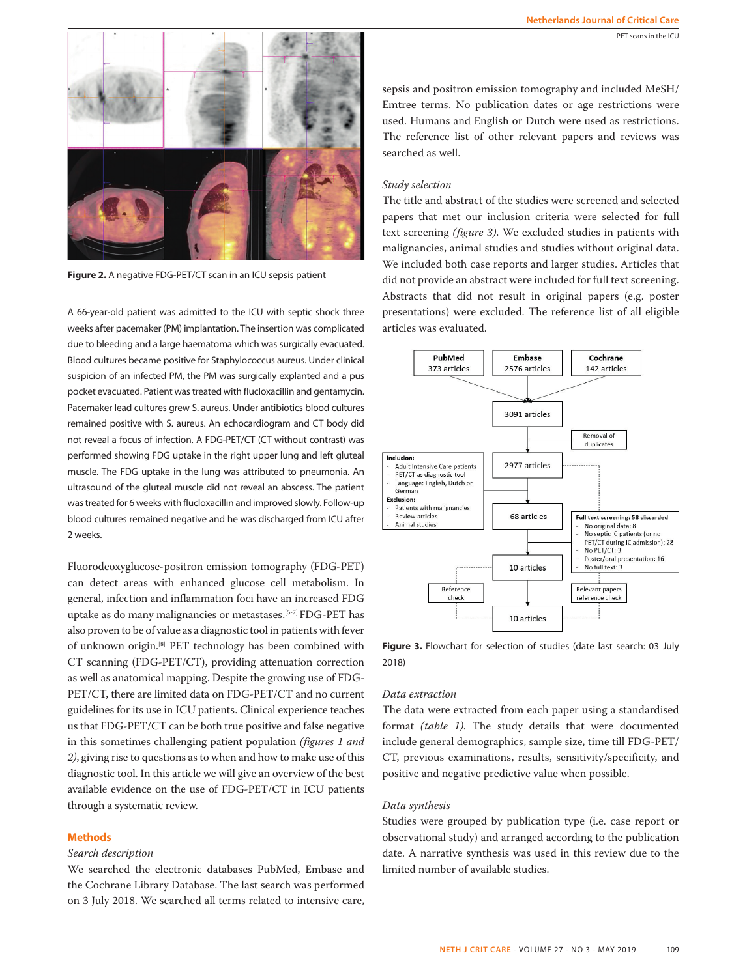PET scans in the ICU



**Figure 2.** A negative FDG-PET/CT scan in an ICU sepsis patient

A 66-year-old patient was admitted to the ICU with septic shock three weeks after pacemaker (PM) implantation. The insertion was complicated due to bleeding and a large haematoma which was surgically evacuated. Blood cultures became positive for Staphylococcus aureus. Under clinical suspicion of an infected PM, the PM was surgically explanted and a pus pocket evacuated. Patient was treated with flucloxacillin and gentamycin. Pacemaker lead cultures grew S. aureus. Under antibiotics blood cultures remained positive with S. aureus. An echocardiogram and CT body did not reveal a focus of infection. A FDG-PET/CT (CT without contrast) was performed showing FDG uptake in the right upper lung and left gluteal muscle. The FDG uptake in the lung was attributed to pneumonia. An ultrasound of the gluteal muscle did not reveal an abscess. The patient was treated for 6 weeks with flucloxacillin and improved slowly. Follow-up blood cultures remained negative and he was discharged from ICU after 2 weeks.

Fluorodeoxyglucose-positron emission tomography (FDG-PET) can detect areas with enhanced glucose cell metabolism. In general, infection and inflammation foci have an increased FDG uptake as do many malignancies or metastases.[5-7] FDG-PET has also proven to be of value as a diagnostic tool in patients with fever of unknown origin.[8] PET technology has been combined with CT scanning (FDG-PET/CT), providing attenuation correction as well as anatomical mapping. Despite the growing use of FDG-PET/CT, there are limited data on FDG-PET/CT and no current guidelines for its use in ICU patients. Clinical experience teaches us that FDG-PET/CT can be both true positive and false negative in this sometimes challenging patient population *(figures 1 and 2)*, giving rise to questions as to when and how to make use of this diagnostic tool. In this article we will give an overview of the best available evidence on the use of FDG-PET/CT in ICU patients through a systematic review.

## **Methods**

## *Search description*

We searched the electronic databases PubMed, Embase and the Cochrane Library Database. The last search was performed on 3 July 2018. We searched all terms related to intensive care,

sepsis and positron emission tomography and included MeSH/ Emtree terms. No publication dates or age restrictions were used. Humans and English or Dutch were used as restrictions. The reference list of other relevant papers and reviews was searched as well.

## *Study selection*

The title and abstract of the studies were screened and selected papers that met our inclusion criteria were selected for full text screening *(figure 3)*. We excluded studies in patients with malignancies, animal studies and studies without original data. We included both case reports and larger studies. Articles that did not provide an abstract were included for full text screening. Abstracts that did not result in original papers (e.g. poster presentations) were excluded. The reference list of all eligible articles was evaluated.



**Figure 3.** Flowchart for selection of studies (date last search: 03 July 2018)

## *Data extraction*

The data were extracted from each paper using a standardised format *(table 1)*. The study details that were documented include general demographics, sample size, time till FDG-PET/ CT, previous examinations, results, sensitivity/specificity, and positive and negative predictive value when possible.

### *Data synthesis*

Studies were grouped by publication type (i.e. case report or observational study) and arranged according to the publication date. A narrative synthesis was used in this review due to the limited number of available studies.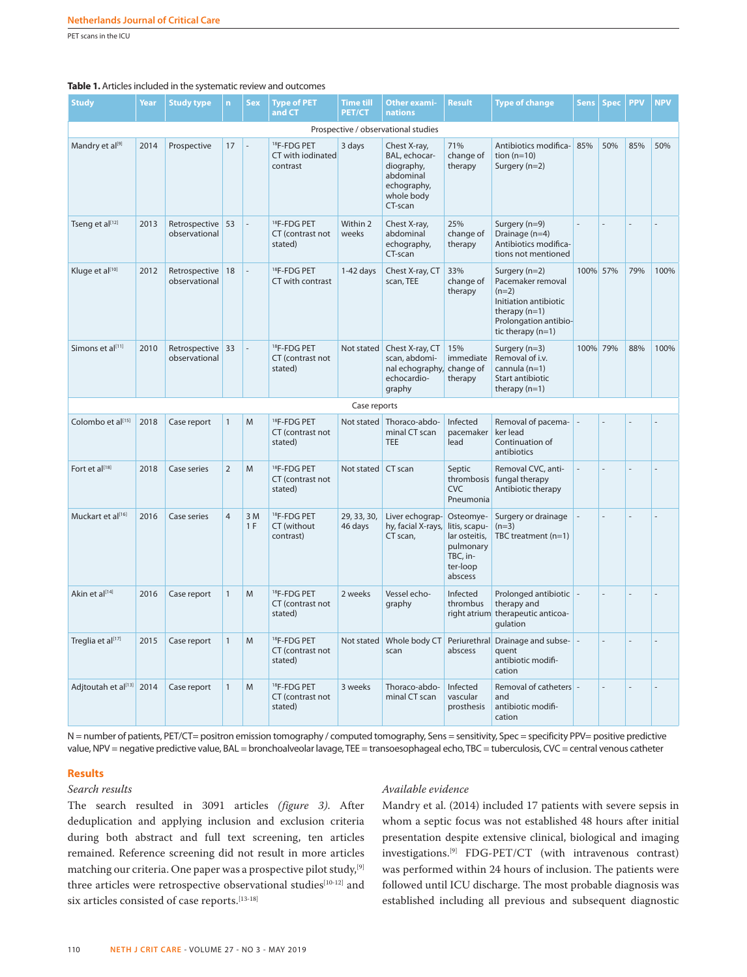PET scans in the ICU

#### **Table 1.** Articles included in the systematic review and outcomes

| <b>Study</b>                        | Year | <b>Study type</b>                 | $\mathsf{n}$   | <b>Sex</b>               | <b>Type of PET</b><br>and CT                             | <b>Time till</b><br><b>PET/CT</b> | <b>Other exami-</b><br>nations                                                                   | <b>Result</b>                                                                               | <b>Type of change</b>                                                                                                                       | <b>Sens</b> | <b>Spec</b> | <b>PPV</b> | <b>NPV</b> |
|-------------------------------------|------|-----------------------------------|----------------|--------------------------|----------------------------------------------------------|-----------------------------------|--------------------------------------------------------------------------------------------------|---------------------------------------------------------------------------------------------|---------------------------------------------------------------------------------------------------------------------------------------------|-------------|-------------|------------|------------|
| Prospective / observational studies |      |                                   |                |                          |                                                          |                                   |                                                                                                  |                                                                                             |                                                                                                                                             |             |             |            |            |
| Mandry et al <sup>[9]</sup>         | 2014 | Prospective                       | 17             | L.                       | <sup>18</sup> F-FDG PET<br>CT with iodinated<br>contrast | 3 days                            | Chest X-ray,<br>BAL, echocar-<br>diography,<br>abdominal<br>echography,<br>whole body<br>CT-scan | 71%<br>change of<br>therapy                                                                 | Antibiotics modifica-<br>tion $(n=10)$<br>Surgery (n=2)                                                                                     | 85%         | 50%         | 85%        | 50%        |
| Tseng et al[12]                     | 2013 | Retrospective 53<br>observational |                | L.                       | <sup>18</sup> F-FDG PET<br>CT (contrast not<br>stated)   | Within 2<br>weeks                 | Chest X-ray,<br>abdominal<br>echography,<br>CT-scan                                              | 25%<br>change of<br>therapy                                                                 | Surgery (n=9)<br>Drainage (n=4)<br>Antibiotics modifica-<br>tions not mentioned                                                             |             |             |            |            |
| Kluge et al[10]                     | 2012 | Retrospective 18<br>observational |                | $\overline{\phantom{a}}$ | <sup>18</sup> F-FDG PET<br>CT with contrast              | $1-42$ days                       | Chest X-ray, CT<br>scan, TEE                                                                     | 33%<br>change of<br>therapy                                                                 | Surgery $(n=2)$<br>Pacemaker removal<br>$(n=2)$<br>Initiation antibiotic<br>therapy $(n=1)$<br>Prolongation antibio-<br>tic therapy $(n=1)$ | 100% 57%    |             | 79%        | 100%       |
| Simons et al[11]                    | 2010 | Retrospective 33<br>observational |                | $\overline{a}$           | <sup>18</sup> F-FDG PET<br>CT (contrast not<br>stated)   | Not stated                        | Chest X-ray, CT<br>scan, abdomi-<br>nal echography,<br>echocardio-<br>graphy                     | 15%<br>immediate<br>change of<br>therapy                                                    | Surgery $(n=3)$<br>Removal of i.v.<br>cannula $(n=1)$<br>Start antibiotic<br>therapy $(n=1)$                                                | 100% 79%    |             | 88%        | 100%       |
|                                     |      |                                   |                |                          |                                                          | Case reports                      |                                                                                                  |                                                                                             |                                                                                                                                             |             |             |            |            |
| Colombo et al <sup>[15]</sup>       | 2018 | Case report                       | $\mathbf{1}$   | M                        | <sup>18</sup> F-FDG PET<br>CT (contrast not<br>stated)   |                                   | Not stated Thoraco-abdo-<br>minal CT scan<br><b>TEE</b>                                          | Infected<br>pacemaker<br>lead                                                               | Removal of pacema-<br>ker lead<br>Continuation of<br>antibiotics                                                                            |             |             |            |            |
| Fort et al[18]                      | 2018 | Case series                       | $\overline{2}$ | M                        | <sup>18</sup> F-FDG PET<br>CT (contrast not<br>stated)   | Not stated                        | CT scan                                                                                          | Septic<br>thrombosis<br><b>CVC</b><br>Pneumonia                                             | Removal CVC, anti-<br>fungal therapy<br>Antibiotic therapy                                                                                  |             |             |            |            |
| Muckart et al[16]                   | 2016 | Case series                       | $\overline{4}$ | 3M<br>1 F                | <sup>18</sup> F-FDG PET<br>CT (without<br>contrast)      | 29, 33, 30,<br>46 days            | Liver echograp-<br>hy, facial X-rays,<br>CT scan,                                                | Osteomye-<br>litis, scapu-<br>lar osteitis,<br>pulmonary<br>TBC, in-<br>ter-loop<br>abscess | Surgery or drainage<br>$(n=3)$<br>TBC treatment $(n=1)$                                                                                     |             |             |            |            |
| Akin et al[14]                      | 2016 | Case report                       | $\mathbf{1}$   | M                        | <sup>18</sup> F-FDG PET<br>CT (contrast not<br>stated)   | 2 weeks                           | Vessel echo-<br>graphy                                                                           | Infected<br>thrombus                                                                        | Prolonged antibiotic<br>therapy and<br>right atrium therapeutic anticoa-<br>gulation                                                        |             |             |            |            |
| Treglia et al <sup>[17]</sup>       | 2015 | Case report                       | $\mathbf{1}$   | M                        | <sup>18</sup> F-FDG PET<br>CT (contrast not<br>stated)   | Not stated                        | Whole body CT<br>scan                                                                            | Periurethral<br>abscess                                                                     | Drainage and subse-<br>quent<br>antibiotic modifi-<br>cation                                                                                |             |             |            |            |
| Adjtoutah et al[13] 2014            |      | Case report                       | $\mathbf{1}$   | M                        | <sup>18</sup> F-FDG PET<br>CT (contrast not<br>stated)   | 3 weeks                           | Thoraco-abdo-<br>minal CT scan                                                                   | Infected<br>vascular<br>prosthesis                                                          | Removal of catheters -<br>and<br>antibiotic modifi-<br>cation                                                                               |             |             |            |            |

N = number of patients, PET/CT= positron emission tomography / computed tomography, Sens = sensitivity, Spec = specificity PPV= positive predictive value, NPV = negative predictive value, BAL = bronchoalveolar lavage, TEE = transoesophageal echo, TBC = tuberculosis, CVC = central venous catheter

#### **Results**

## *Search results*

The search resulted in 3091 articles *(figure 3)*. After deduplication and applying inclusion and exclusion criteria during both abstract and full text screening, ten articles remained. Reference screening did not result in more articles matching our criteria. One paper was a prospective pilot study,<sup>[9]</sup> three articles were retrospective observational studies<sup>[10-12]</sup> and six articles consisted of case reports.[13-18]

# *Available evidence*

Mandry et al. (2014) included 17 patients with severe sepsis in whom a septic focus was not established 48 hours after initial presentation despite extensive clinical, biological and imaging investigations.[9] FDG-PET/CT (with intravenous contrast) was performed within 24 hours of inclusion. The patients were followed until ICU discharge. The most probable diagnosis was established including all previous and subsequent diagnostic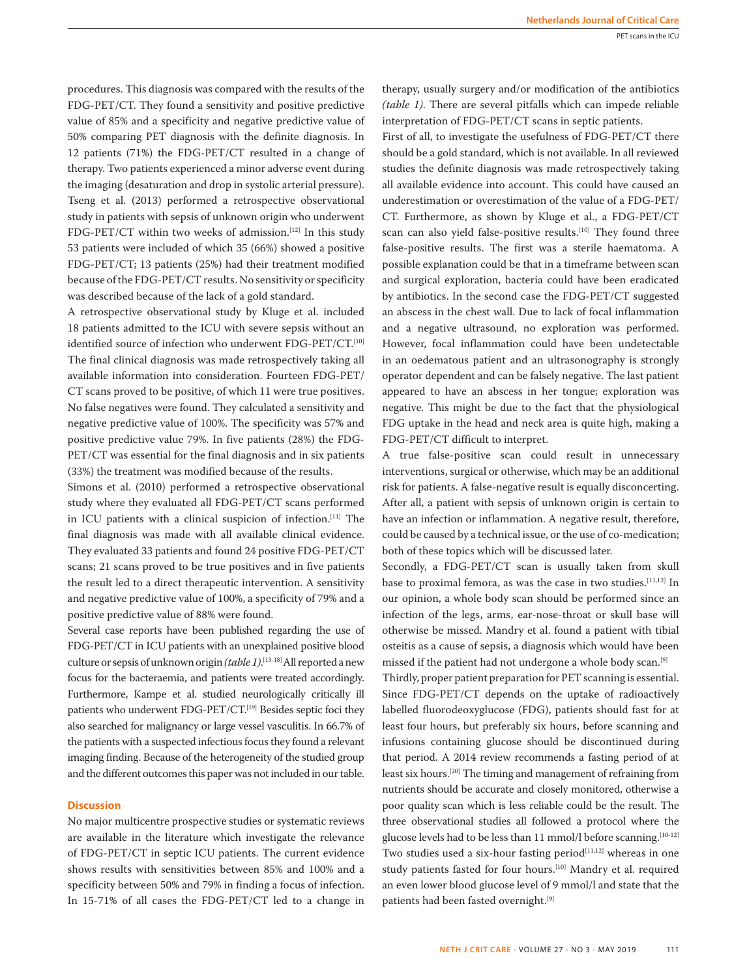procedures. This diagnosis was compared with the results of the FDG-PET/CT. They found a sensitivity and positive predictive value of 85% and a specificity and negative predictive value of 50% comparing PET diagnosis with the definite diagnosis. In 12 patients (71%) the FDG-PET/CT resulted in a change of therapy. Two patients experienced a minor adverse event during the imaging (desaturation and drop in systolic arterial pressure). Tseng et al. (2013) performed a retrospective observational study in patients with sepsis of unknown origin who underwent FDG-PET/CT within two weeks of admission.<sup>[12]</sup> In this study 53 patients were included of which 35 (66%) showed a positive FDG-PET/CT; 13 patients (25%) had their treatment modified because of the FDG-PET/CT results. No sensitivity or specificity was described because of the lack of a gold standard.

A retrospective observational study by Kluge et al. included 18 patients admitted to the ICU with severe sepsis without an identified source of infection who underwent FDG-PET/CT.<sup>[10]</sup> The final clinical diagnosis was made retrospectively taking all available information into consideration. Fourteen FDG-PET/ CT scans proved to be positive, of which 11 were true positives. No false negatives were found. They calculated a sensitivity and negative predictive value of 100%. The specificity was 57% and positive predictive value 79%. In five patients (28%) the FDG-PET/CT was essential for the final diagnosis and in six patients (33%) the treatment was modified because of the results.

Simons et al. (2010) performed a retrospective observational study where they evaluated all FDG-PET/CT scans performed in ICU patients with a clinical suspicion of infection.[11] The final diagnosis was made with all available clinical evidence. They evaluated 33 patients and found 24 positive FDG-PET/CT scans; 21 scans proved to be true positives and in five patients the result led to a direct therapeutic intervention. A sensitivity and negative predictive value of 100%, a specificity of 79% and a positive predictive value of 88% were found.

Several case reports have been published regarding the use of FDG-PET/CT in ICU patients with an unexplained positive blood culture or sepsis of unknown origin *(table 1)*. [13-18] All reported a new focus for the bacteraemia, and patients were treated accordingly. Furthermore, Kampe et al. studied neurologically critically ill patients who underwent FDG-PET/CT.[19] Besides septic foci they also searched for malignancy or large vessel vasculitis. In 66.7% of the patients with a suspected infectious focus they found a relevant imaging finding. Because of the heterogeneity of the studied group and the different outcomes this paper was not included in our table.

## **Discussion**

No major multicentre prospective studies or systematic reviews are available in the literature which investigate the relevance of FDG-PET/CT in septic ICU patients. The current evidence shows results with sensitivities between 85% and 100% and a specificity between 50% and 79% in finding a focus of infection. In 15-71% of all cases the FDG-PET/CT led to a change in

therapy, usually surgery and/or modification of the antibiotics *(table 1)*. There are several pitfalls which can impede reliable interpretation of FDG-PET/CT scans in septic patients.

First of all, to investigate the usefulness of FDG-PET/CT there should be a gold standard, which is not available. In all reviewed studies the definite diagnosis was made retrospectively taking all available evidence into account. This could have caused an underestimation or overestimation of the value of a FDG-PET/ CT. Furthermore, as shown by Kluge et al., a FDG-PET/CT scan can also yield false-positive results.<sup>[10]</sup> They found three false-positive results. The first was a sterile haematoma. A possible explanation could be that in a timeframe between scan and surgical exploration, bacteria could have been eradicated by antibiotics. In the second case the FDG-PET/CT suggested an abscess in the chest wall. Due to lack of focal inflammation and a negative ultrasound, no exploration was performed. However, focal inflammation could have been undetectable in an oedematous patient and an ultrasonography is strongly operator dependent and can be falsely negative. The last patient appeared to have an abscess in her tongue; exploration was negative. This might be due to the fact that the physiological FDG uptake in the head and neck area is quite high, making a FDG-PET/CT difficult to interpret.

A true false-positive scan could result in unnecessary interventions, surgical or otherwise, which may be an additional risk for patients. A false-negative result is equally disconcerting. After all, a patient with sepsis of unknown origin is certain to have an infection or inflammation. A negative result, therefore, could be caused by a technical issue, or the use of co-medication; both of these topics which will be discussed later.

Secondly, a FDG-PET/CT scan is usually taken from skull base to proximal femora, as was the case in two studies.[11,12] In our opinion, a whole body scan should be performed since an infection of the legs, arms, ear-nose-throat or skull base will otherwise be missed. Mandry et al. found a patient with tibial osteitis as a cause of sepsis, a diagnosis which would have been missed if the patient had not undergone a whole body scan.<sup>[9]</sup>

Thirdly, proper patient preparation for PET scanning is essential. Since FDG-PET/CT depends on the uptake of radioactively labelled fluorodeoxyglucose (FDG), patients should fast for at least four hours, but preferably six hours, before scanning and infusions containing glucose should be discontinued during that period. A 2014 review recommends a fasting period of at least six hours.[20] The timing and management of refraining from nutrients should be accurate and closely monitored, otherwise a poor quality scan which is less reliable could be the result. The three observational studies all followed a protocol where the glucose levels had to be less than 11 mmol/l before scanning.<sup>[10-12]</sup> Two studies used a six-hour fasting period<sup>[11,12]</sup> whereas in one study patients fasted for four hours.[10] Mandry et al. required an even lower blood glucose level of 9 mmol/l and state that the patients had been fasted overnight.<sup>[9]</sup>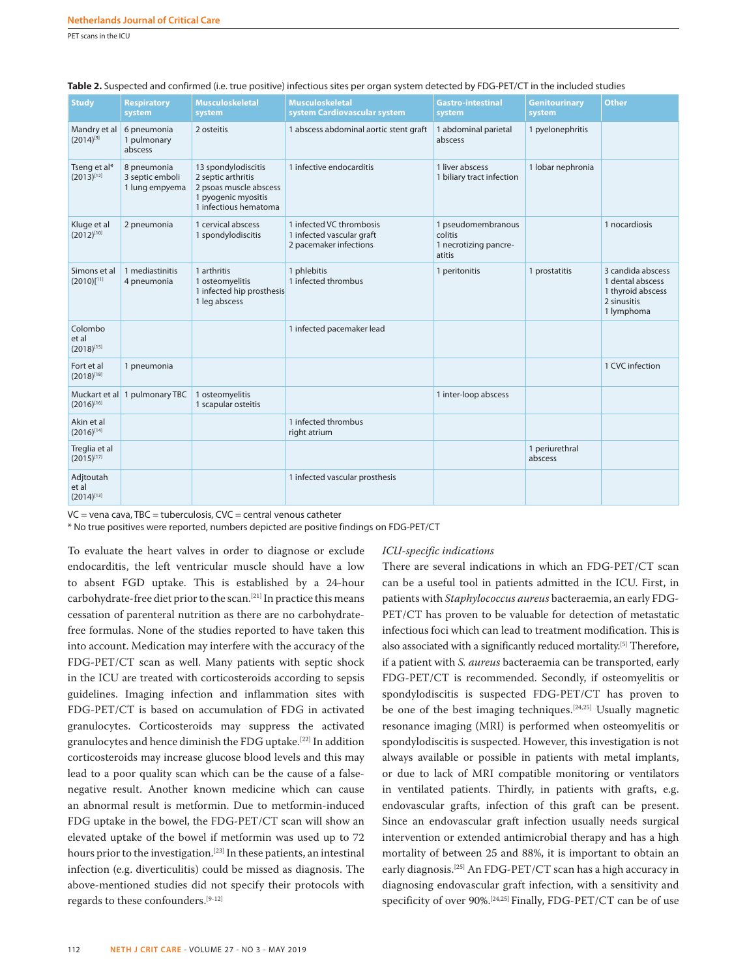PET scans in the ICU

| <b>Study</b>                          | <b>Respiratory</b><br>system                     | <b>Musculoskeletal</b><br>system                                                                                    | <b>Musculoskeletal</b><br>system Cardiovascular system                          | <b>Gastro-intestinal</b><br>system                               | <b>Genitourinary</b><br>system | <b>Other</b>                                                                            |
|---------------------------------------|--------------------------------------------------|---------------------------------------------------------------------------------------------------------------------|---------------------------------------------------------------------------------|------------------------------------------------------------------|--------------------------------|-----------------------------------------------------------------------------------------|
| Mandry et al<br>$(2014)^{[9]}$        | 6 pneumonia<br>1 pulmonary<br>abscess            | 2 osteitis                                                                                                          | 1 abscess abdominal aortic stent graft                                          | 1 abdominal parietal<br>abscess                                  | 1 pyelonephritis               |                                                                                         |
| Tseng et al*<br>$(2013)^{[12]}$       | 8 pneumonia<br>3 septic emboli<br>1 lung empyema | 13 spondylodiscitis<br>2 septic arthritis<br>2 psoas muscle abscess<br>1 pyogenic myositis<br>1 infectious hematoma | 1 infective endocarditis                                                        | 1 liver abscess<br>1 biliary tract infection                     | 1 lobar nephronia              |                                                                                         |
| Kluge et al<br>$(2012)^{[10]}$        | 2 pneumonia                                      | 1 cervical abscess<br>1 spondylodiscitis                                                                            | 1 infected VC thrombosis<br>1 infected vascular graft<br>2 pacemaker infections | 1 pseudomembranous<br>colitis<br>1 necrotizing pancre-<br>atitis |                                | 1 nocardiosis                                                                           |
| Simons et al<br>$(2010)$ [11]         | 1 mediastinitis<br>4 pneumonia                   | 1 arthritis<br>1 osteomyelitis<br>1 infected hip prosthesis<br>1 leg abscess                                        | 1 phlebitis<br>1 infected thrombus                                              | 1 peritonitis                                                    | 1 prostatitis                  | 3 candida abscess<br>1 dental abscess<br>1 thyroid abscess<br>2 sinusitis<br>1 lymphoma |
| Colombo<br>et al<br>$(2018)^{[15]}$   |                                                  |                                                                                                                     | 1 infected pacemaker lead                                                       |                                                                  |                                |                                                                                         |
| Fort et al<br>$(2018)^{[18]}$         | 1 pneumonia                                      |                                                                                                                     |                                                                                 |                                                                  |                                | 1 CVC infection                                                                         |
| $(2016)^{[16]}$                       | Muckart et al 1 pulmonary TBC                    | 1 osteomyelitis<br>1 scapular osteitis                                                                              |                                                                                 | 1 inter-loop abscess                                             |                                |                                                                                         |
| Akin et al<br>$(2016)^{[14]}$         |                                                  |                                                                                                                     | 1 infected thrombus<br>right atrium                                             |                                                                  |                                |                                                                                         |
| Treglia et al<br>$(2015)^{[17]}$      |                                                  |                                                                                                                     |                                                                                 |                                                                  | 1 periurethral<br>abscess      |                                                                                         |
| Adjtoutah<br>et al<br>$(2014)^{[13]}$ |                                                  |                                                                                                                     | 1 infected vascular prosthesis                                                  |                                                                  |                                |                                                                                         |

 $VC =$  vena cava, TBC = tuberculosis,  $CVC =$  central venous catheter

\* No true positives were reported, numbers depicted are positive findings on FDG-PET/CT

To evaluate the heart valves in order to diagnose or exclude endocarditis, the left ventricular muscle should have a low to absent FGD uptake. This is established by a 24-hour carbohydrate-free diet prior to the scan.[21] In practice this means cessation of parenteral nutrition as there are no carbohydratefree formulas. None of the studies reported to have taken this into account. Medication may interfere with the accuracy of the FDG-PET/CT scan as well. Many patients with septic shock in the ICU are treated with corticosteroids according to sepsis guidelines. Imaging infection and inflammation sites with FDG-PET/CT is based on accumulation of FDG in activated granulocytes. Corticosteroids may suppress the activated granulocytes and hence diminish the FDG uptake.[22] In addition corticosteroids may increase glucose blood levels and this may lead to a poor quality scan which can be the cause of a falsenegative result. Another known medicine which can cause an abnormal result is metformin. Due to metformin-induced FDG uptake in the bowel, the FDG-PET/CT scan will show an elevated uptake of the bowel if metformin was used up to 72 hours prior to the investigation.<sup>[23]</sup> In these patients, an intestinal infection (e.g. diverticulitis) could be missed as diagnosis. The above-mentioned studies did not specify their protocols with regards to these confounders.[9-12]

#### *ICU-specific indications*

There are several indications in which an FDG-PET/CT scan can be a useful tool in patients admitted in the ICU. First, in patients with *Staphylococcus aureus* bacteraemia, an early FDG-PET/CT has proven to be valuable for detection of metastatic infectious foci which can lead to treatment modification. This is also associated with a significantly reduced mortality.<sup>[5]</sup> Therefore, if a patient with *S. aureus* bacteraemia can be transported, early FDG-PET/CT is recommended. Secondly, if osteomyelitis or spondylodiscitis is suspected FDG-PET/CT has proven to be one of the best imaging techniques.[24,25] Usually magnetic resonance imaging (MRI) is performed when osteomyelitis or spondylodiscitis is suspected. However, this investigation is not always available or possible in patients with metal implants, or due to lack of MRI compatible monitoring or ventilators in ventilated patients. Thirdly, in patients with grafts, e.g. endovascular grafts, infection of this graft can be present. Since an endovascular graft infection usually needs surgical intervention or extended antimicrobial therapy and has a high mortality of between 25 and 88%, it is important to obtain an early diagnosis.[25] An FDG-PET/CT scan has a high accuracy in diagnosing endovascular graft infection, with a sensitivity and specificity of over 90%.<sup>[24,25]</sup> Finally, FDG-PET/CT can be of use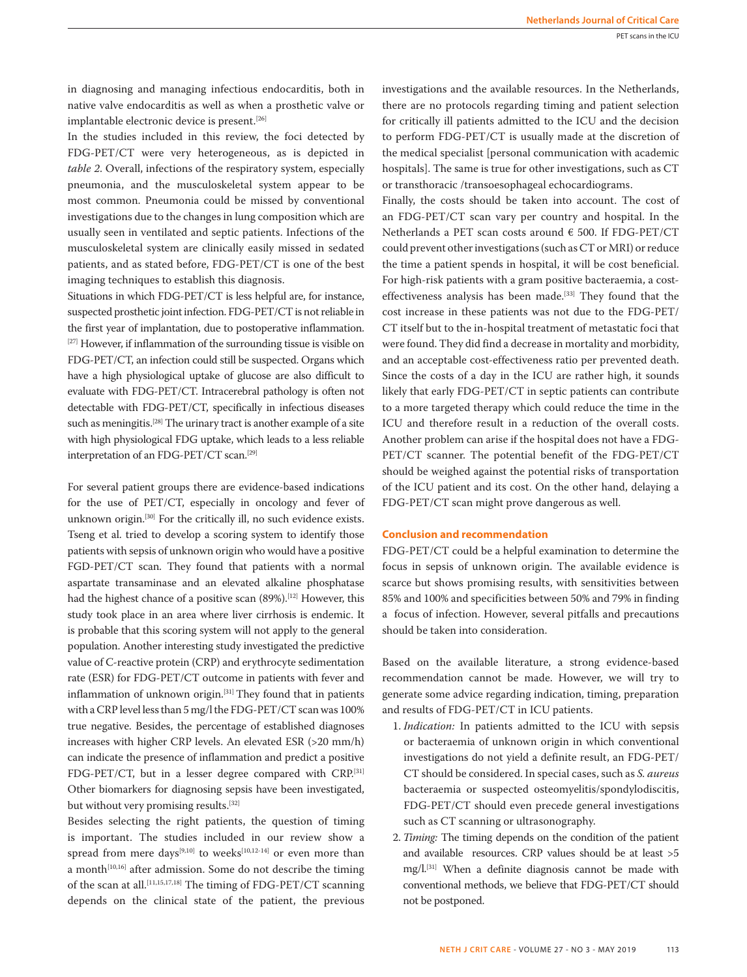in diagnosing and managing infectious endocarditis, both in native valve endocarditis as well as when a prosthetic valve or implantable electronic device is present.<sup>[26]</sup>

In the studies included in this review, the foci detected by FDG-PET/CT were very heterogeneous, as is depicted in *table 2*. Overall, infections of the respiratory system, especially pneumonia, and the musculoskeletal system appear to be most common. Pneumonia could be missed by conventional investigations due to the changes in lung composition which are usually seen in ventilated and septic patients. Infections of the musculoskeletal system are clinically easily missed in sedated patients, and as stated before, FDG-PET/CT is one of the best imaging techniques to establish this diagnosis.

Situations in which FDG-PET/CT is less helpful are, for instance, suspected prosthetic joint infection. FDG-PET/CT is not reliable in the first year of implantation, due to postoperative inflammation. [27] However, if inflammation of the surrounding tissue is visible on FDG-PET/CT, an infection could still be suspected. Organs which have a high physiological uptake of glucose are also difficult to evaluate with FDG-PET/CT. Intracerebral pathology is often not detectable with FDG-PET/CT, specifically in infectious diseases such as meningitis.<sup>[28]</sup> The urinary tract is another example of a site with high physiological FDG uptake, which leads to a less reliable interpretation of an FDG-PET/CT scan.[29]

For several patient groups there are evidence-based indications for the use of PET/CT, especially in oncology and fever of unknown origin.[30] For the critically ill, no such evidence exists. Tseng et al. tried to develop a scoring system to identify those patients with sepsis of unknown origin who would have a positive FGD-PET/CT scan. They found that patients with a normal aspartate transaminase and an elevated alkaline phosphatase had the highest chance of a positive scan (89%).<sup>[12]</sup> However, this study took place in an area where liver cirrhosis is endemic. It is probable that this scoring system will not apply to the general population. Another interesting study investigated the predictive value of C-reactive protein (CRP) and erythrocyte sedimentation rate (ESR) for FDG-PET/CT outcome in patients with fever and inflammation of unknown origin.[31] They found that in patients with a CRP level less than 5 mg/l the FDG-PET/CT scan was 100% true negative. Besides, the percentage of established diagnoses increases with higher CRP levels. An elevated ESR (>20 mm/h) can indicate the presence of inflammation and predict a positive FDG-PET/CT, but in a lesser degree compared with CRP.<sup>[31]</sup> Other biomarkers for diagnosing sepsis have been investigated, but without very promising results.<sup>[32]</sup>

Besides selecting the right patients, the question of timing is important. The studies included in our review show a spread from mere days<sup>[9,10]</sup> to weeks<sup>[10,12-14]</sup> or even more than a month<sup>[10,16]</sup> after admission. Some do not describe the timing of the scan at all.[11,15,17,18] The timing of FDG-PET/CT scanning depends on the clinical state of the patient, the previous investigations and the available resources. In the Netherlands, there are no protocols regarding timing and patient selection for critically ill patients admitted to the ICU and the decision to perform FDG-PET/CT is usually made at the discretion of the medical specialist [personal communication with academic hospitals]. The same is true for other investigations, such as CT or transthoracic /transoesophageal echocardiograms.

Finally, the costs should be taken into account. The cost of an FDG-PET/CT scan vary per country and hospital. In the Netherlands a PET scan costs around € 500. If FDG-PET/CT could prevent other investigations (such as CT or MRI) or reduce the time a patient spends in hospital, it will be cost beneficial. For high-risk patients with a gram positive bacteraemia, a costeffectiveness analysis has been made.<sup>[33]</sup> They found that the cost increase in these patients was not due to the FDG-PET/ CT itself but to the in-hospital treatment of metastatic foci that were found. They did find a decrease in mortality and morbidity, and an acceptable cost-effectiveness ratio per prevented death. Since the costs of a day in the ICU are rather high, it sounds likely that early FDG-PET/CT in septic patients can contribute to a more targeted therapy which could reduce the time in the ICU and therefore result in a reduction of the overall costs. Another problem can arise if the hospital does not have a FDG-PET/CT scanner. The potential benefit of the FDG-PET/CT should be weighed against the potential risks of transportation of the ICU patient and its cost. On the other hand, delaying a FDG-PET/CT scan might prove dangerous as well.

## **Conclusion and recommendation**

FDG-PET/CT could be a helpful examination to determine the focus in sepsis of unknown origin. The available evidence is scarce but shows promising results, with sensitivities between 85% and 100% and specificities between 50% and 79% in finding a focus of infection. However, several pitfalls and precautions should be taken into consideration.

Based on the available literature, a strong evidence-based recommendation cannot be made. However, we will try to generate some advice regarding indication, timing, preparation and results of FDG-PET/CT in ICU patients.

- 1. *Indication:* In patients admitted to the ICU with sepsis or bacteraemia of unknown origin in which conventional investigations do not yield a definite result, an FDG-PET/ CT should be considered. In special cases, such as *S. aureus* bacteraemia or suspected osteomyelitis/spondylodiscitis, FDG-PET/CT should even precede general investigations such as CT scanning or ultrasonography.
- 2. *Timing:* The timing depends on the condition of the patient and available resources. CRP values should be at least >5 mg/l.[31] When a definite diagnosis cannot be made with conventional methods, we believe that FDG-PET/CT should not be postponed.